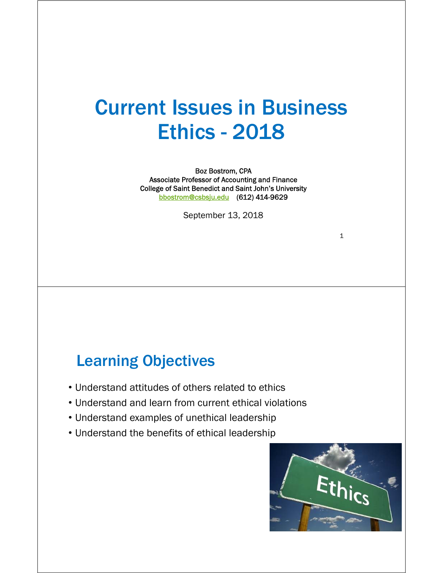# Current Issues in Business Ethics - 2018

Boz Bostrom, CPA Associate Professor of Accounting and Finance College of Saint Benedict and Saint John's University bbostrom@csbsju.edu (612) 414-9629

September 13, 2018

#### Learning Objectives

- Understand attitudes of others related to ethics
- Understand and learn from current ethical violations
- Understand examples of unethical leadership
- Understand the benefits of ethical leadership

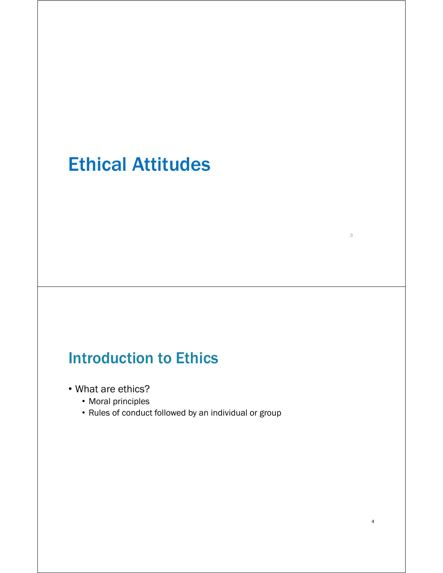# Ethical Attitudes

## Introduction to Ethics

- What are ethics?
	- Moral principles
	- Rules of conduct followed by an individual or group

3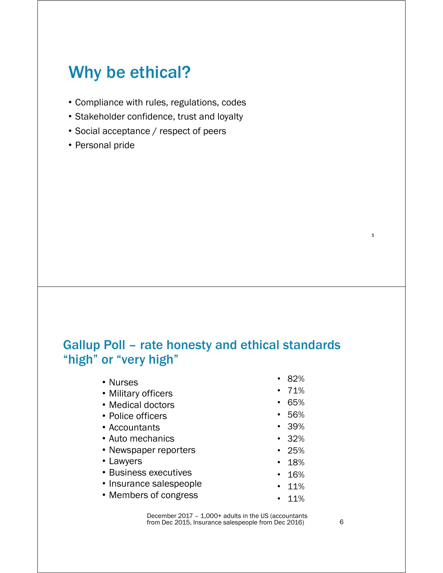## Why be ethical?

- Compliance with rules, regulations, codes
- Stakeholder confidence, trust and loyalty
- Social acceptance / respect of peers
- Personal pride

#### Gallup Poll – rate honesty and ethical standards "high" or "very high"

- Nurses
- Military officers
- Medical doctors
- Police officers
- Accountants
- Auto mechanics
- Newspaper reporters
- Lawyers
- Business executives
- Insurance salespeople
- Members of congress
- 82%
- 71%
- 65%
- 56%
- 39%
- 32%
- 25%
- 18%
- 16%
- 11%
- 11%

December 2017 – 1,000+ adults in the US (accountants from Dec 2015, Insurance salespeople from Dec 2016)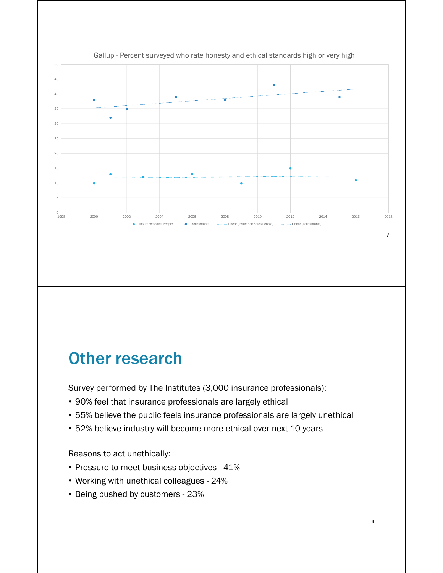

#### Gallup - Percent surveyed who rate honesty and ethical standards high or very high

### Other research

Survey performed by The Institutes (3,000 insurance professionals):

- 90% feel that insurance professionals are largely ethical
- 55% believe the public feels insurance professionals are largely unethical

8

• 52% believe industry will become more ethical over next 10 years

Reasons to act unethically:

- Pressure to meet business objectives 41%
- Working with unethical colleagues 24%
- Being pushed by customers 23%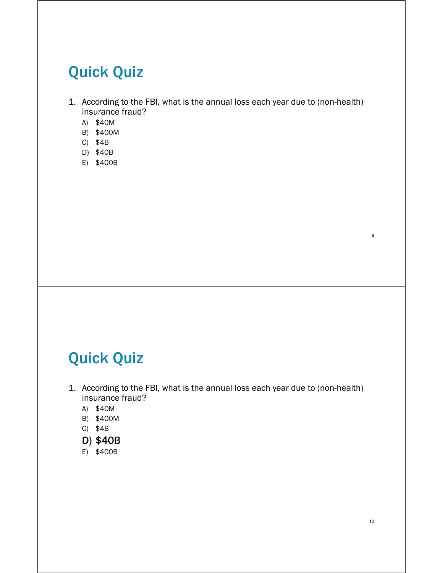## Quick Quiz

- 1. According to the FBI, what is the annual loss each year due to (non-health) insurance fraud?
	- A) \$40M
	- B) \$400M
	- C) \$4B
	- D) \$40B
	- E) \$400B

## Quick Quiz

- 1. According to the FBI, what is the annual loss each year due to (non-health) insurance fraud?
	- A) \$40M
	- B) \$400M
	- C) \$4B
	- D) \$40B
	- E) \$400B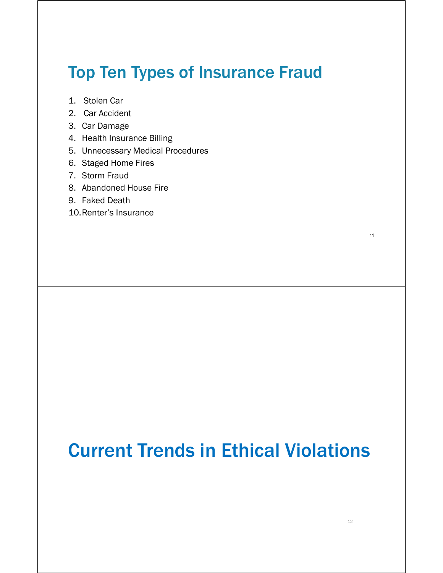## Top Ten Types of Insurance Fraud

- 1. Stolen Car
- 2. Car Accident
- 3. Car Damage
- 4. Health Insurance Billing
- 5. Unnecessary Medical Procedures
- 6. Staged Home Fires
- 7. Storm Fraud
- 8. Abandoned House Fire
- 9. Faked Death
- 10.Renter's Insurance

Current Trends in Ethical Violations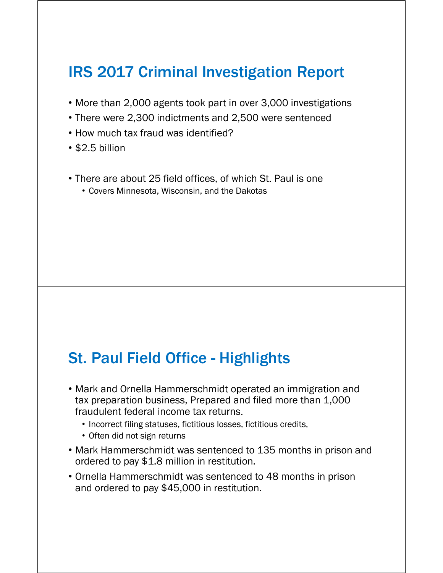## IRS 2017 Criminal Investigation Report

- More than 2,000 agents took part in over 3,000 investigations
- There were 2,300 indictments and 2,500 were sentenced
- How much tax fraud was identified?
- \$2.5 billion
- There are about 25 field offices, of which St. Paul is one
	- Covers Minnesota, Wisconsin, and the Dakotas

### St. Paul Field Office - Highlights

- Mark and Ornella Hammerschmidt operated an immigration and tax preparation business, Prepared and filed more than 1,000 fraudulent federal income tax returns.
	- Incorrect filing statuses, fictitious losses, fictitious credits,
	- Often did not sign returns
- Mark Hammerschmidt was sentenced to 135 months in prison and ordered to pay \$1.8 million in restitution.
- Ornella Hammerschmidt was sentenced to 48 months in prison and ordered to pay \$45,000 in restitution.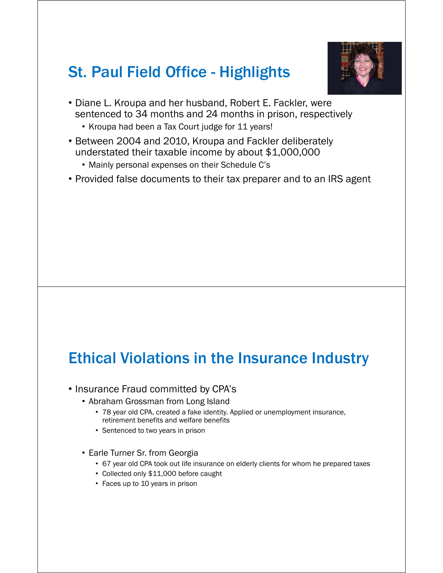## St. Paul Field Office - Highlights



- Diane L. Kroupa and her husband, Robert E. Fackler, were sentenced to 34 months and 24 months in prison, respectively
	- Kroupa had been a Tax Court judge for 11 years!
- Between 2004 and 2010, Kroupa and Fackler deliberately understated their taxable income by about \$1,000,000
	- Mainly personal expenses on their Schedule C's
- Provided false documents to their tax preparer and to an IRS agent

## Ethical Violations in the Insurance Industry

- Insurance Fraud committed by CPA's
	- Abraham Grossman from Long Island
		- 78 year old CPA, created a fake identity. Applied or unemployment insurance, retirement benefits and welfare benefits
		- Sentenced to two years in prison
	- Earle Turner Sr. from Georgia
		- 67 year old CPA took out life insurance on elderly clients for whom he prepared taxes
		- Collected only \$11,000 before caught
		- Faces up to 10 years in prison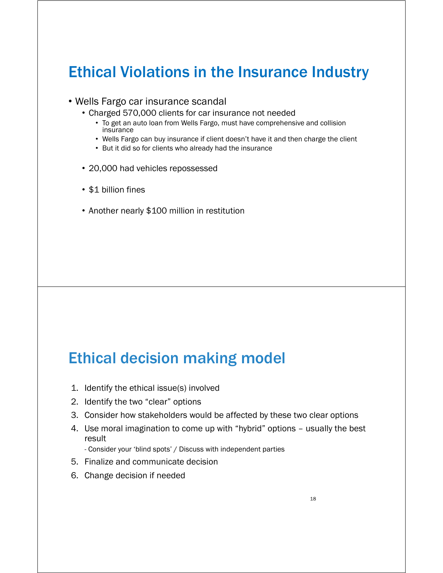## Ethical Violations in the Insurance Industry

- Wells Fargo car insurance scandal
	- Charged 570,000 clients for car insurance not needed
		- To get an auto loan from Wells Fargo, must have comprehensive and collision insurance
		- Wells Fargo can buy insurance if client doesn't have it and then charge the client
		- But it did so for clients who already had the insurance
	- 20,000 had vehicles repossessed
	- \$1 billion fines
	- Another nearly \$100 million in restitution

#### Ethical decision making model

- 1. Identify the ethical issue(s) involved
- 2. Identify the two "clear" options
- 3. Consider how stakeholders would be affected by these two clear options
- 4. Use moral imagination to come up with "hybrid" options usually the best result
	- Consider your 'blind spots' / Discuss with independent parties
- 5. Finalize and communicate decision
- 6. Change decision if needed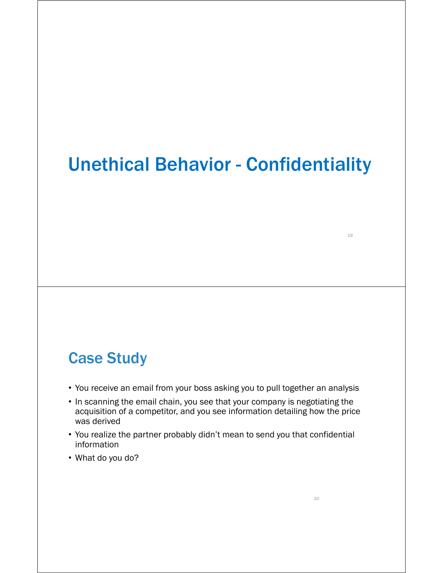## Unethical Behavior - Confidentiality

#### Case Study

- You receive an email from your boss asking you to pull together an analysis
- In scanning the email chain, you see that your company is negotiating the acquisition of a competitor, and you see information detailing how the price was derived
- You realize the partner probably didn't mean to send you that confidential information
- What do you do?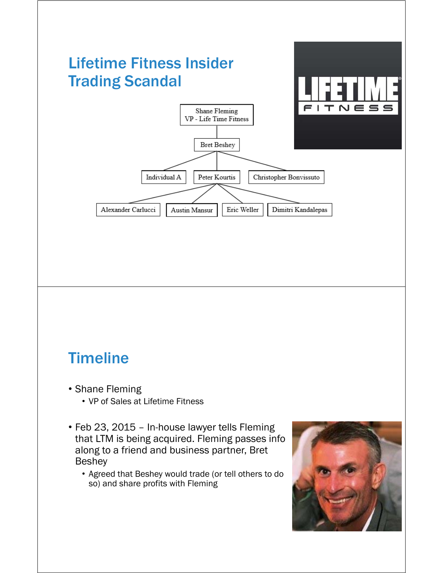

## **Timeline**

- Shane Fleming
	- VP of Sales at Lifetime Fitness
- Feb 23, 2015 In-house lawyer tells Fleming that LTM is being acquired. Fleming passes info along to a friend and business partner, Bret Beshey
	- Agreed that Beshey would trade (or tell others to do so) and share profits with Fleming

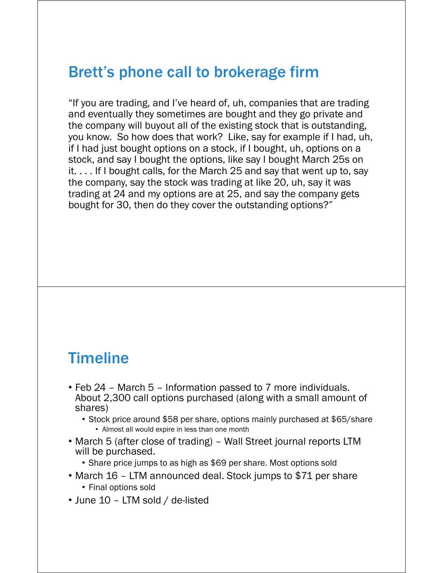### Brett's phone call to brokerage firm

"If you are trading, and I've heard of, uh, companies that are trading and eventually they sometimes are bought and they go private and the company will buyout all of the existing stock that is outstanding, you know. So how does that work? Like, say for example if I had, uh, if I had just bought options on a stock, if I bought, uh, options on a stock, and say I bought the options, like say I bought March 25s on it. . . . If I bought calls, for the March 25 and say that went up to, say the company, say the stock was trading at like 20, uh, say it was trading at 24 and my options are at 25, and say the company gets bought for 30, then do they cover the outstanding options?"

#### Timeline

- Feb 24 March 5 Information passed to 7 more individuals. About 2,300 call options purchased (along with a small amount of shares)
	- Stock price around \$58 per share, options mainly purchased at \$65/share • Almost all would expire in less than one month
- March 5 (after close of trading) Wall Street journal reports LTM will be purchased.
	- Share price jumps to as high as \$69 per share. Most options sold
- March 16 LTM announced deal. Stock jumps to \$71 per share • Final options sold
- June 10 LTM sold / de-listed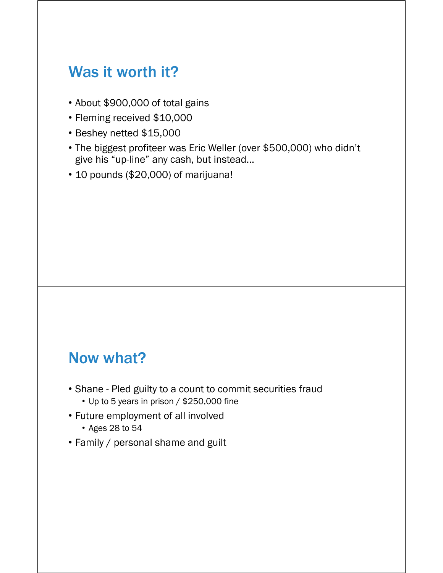## Was it worth it?

- About \$900,000 of total gains
- Fleming received \$10,000
- Beshey netted \$15,000
- The biggest profiteer was Eric Weller (over \$500,000) who didn't give his "up-line" any cash, but instead…
- 10 pounds (\$20,000) of marijuana!

### Now what?

- Shane Pled guilty to a count to commit securities fraud
	- Up to 5 years in prison / \$250,000 fine
- Future employment of all involved
	- Ages 28 to 54
- Family / personal shame and guilt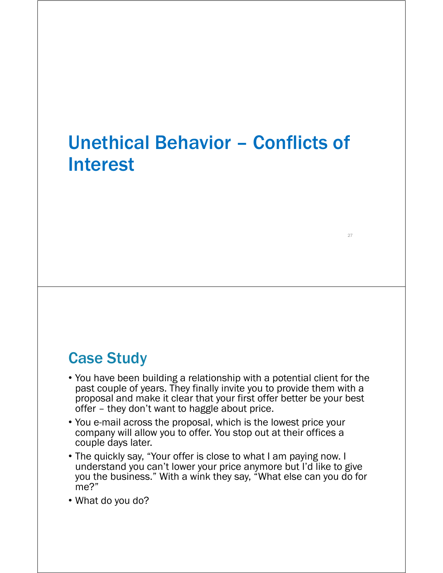## Unethical Behavior – Conflicts of Interest

27

#### Case Study

- You have been building a relationship with a potential client for the past couple of years. They finally invite you to provide them with a proposal and make it clear that your first offer better be your best offer – they don't want to haggle about price.
- You e-mail across the proposal, which is the lowest price your company will allow you to offer. You stop out at their offices a couple days later.
- The quickly say, "Your offer is close to what I am paying now. I understand you can't lower your price anymore but I'd like to give you the business." With a wink they say, "What else can you do for me?"

• What do you do?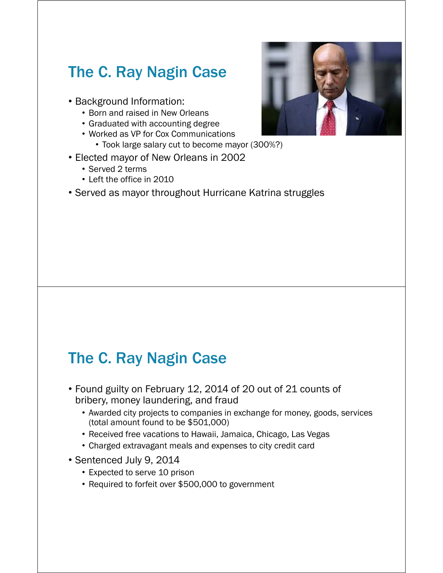## The C. Ray Nagin Case

- Background Information:
	- Born and raised in New Orleans
	- Graduated with accounting degree
	- Worked as VP for Cox Communications
		- Took large salary cut to become mayor (300%?)
- Elected mayor of New Orleans in 2002
	- Served 2 terms
	- Left the office in 2010
- Served as mayor throughout Hurricane Katrina struggles

## The C. Ray Nagin Case

- Found guilty on February 12, 2014 of 20 out of 21 counts of bribery, money laundering, and fraud
	- Awarded city projects to companies in exchange for money, goods, services (total amount found to be \$501,000)
	- Received free vacations to Hawaii, Jamaica, Chicago, Las Vegas
	- Charged extravagant meals and expenses to city credit card
- Sentenced July 9, 2014
	- Expected to serve 10 prison
	- Required to forfeit over \$500,000 to government

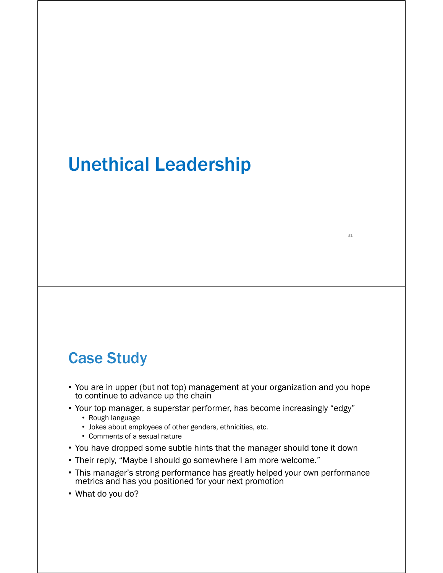## Unethical Leadership

#### Case Study

• You are in upper (but not top) management at your organization and you hope to continue to advance up the chain

- Your top manager, a superstar performer, has become increasingly "edgy"
	- Rough language
	- Jokes about employees of other genders, ethnicities, etc.
	- Comments of a sexual nature
- You have dropped some subtle hints that the manager should tone it down
- Their reply, "Maybe I should go somewhere I am more welcome."
- This manager's strong performance has greatly helped your own performance metrics and has you positioned for your next promotion
- What do you do?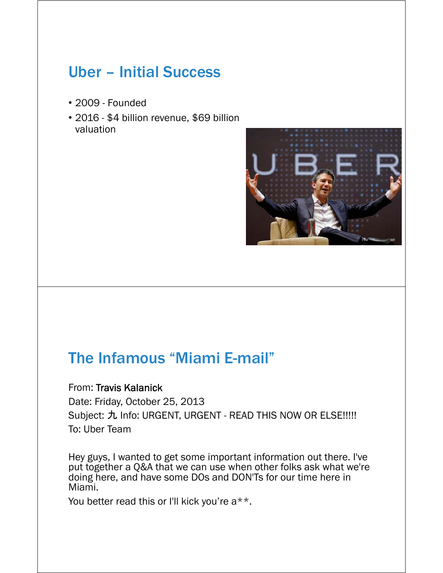## Uber – Initial Success

- 2009 Founded
- 2016 \$4 billion revenue, \$69 billion valuation



#### The Infamous "Miami E-mail"

#### From: Travis Kalanick

Date: Friday, October 25, 2013 Subject: 九 Info: URGENT, URGENT - READ THIS NOW OR ELSE !!!!! To: Uber Team

Hey guys, I wanted to get some important information out there. I've put together a Q&A that we can use when other folks ask what we're doing here, and have some DOs and DON'Ts for our time here in Miami.

You better read this or I'll kick you're  $a^{**}$ .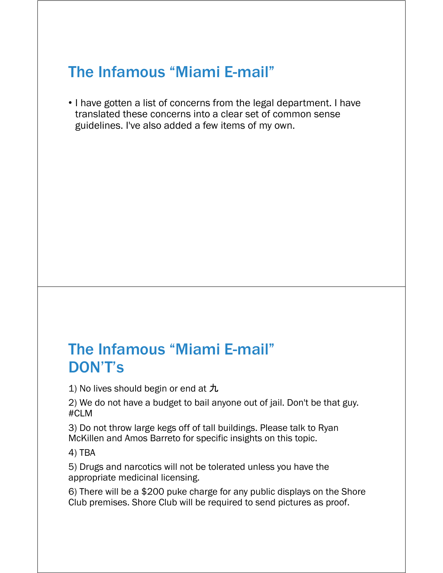## The Infamous "Miami E-mail"

• I have gotten a list of concerns from the legal department. I have translated these concerns into a clear set of common sense guidelines. I've also added a few items of my own.

#### The Infamous "Miami E-mail" DON'T's

1) No lives should begin or end at  $\hbar$ 

2) We do not have a budget to bail anyone out of jail. Don't be that guy. #CLM

3) Do not throw large kegs off of tall buildings. Please talk to Ryan McKillen and Amos Barreto for specific insights on this topic.

4) TBA

5) Drugs and narcotics will not be tolerated unless you have the appropriate medicinal licensing.

6) There will be a \$200 puke charge for any public displays on the Shore Club premises. Shore Club will be required to send pictures as proof.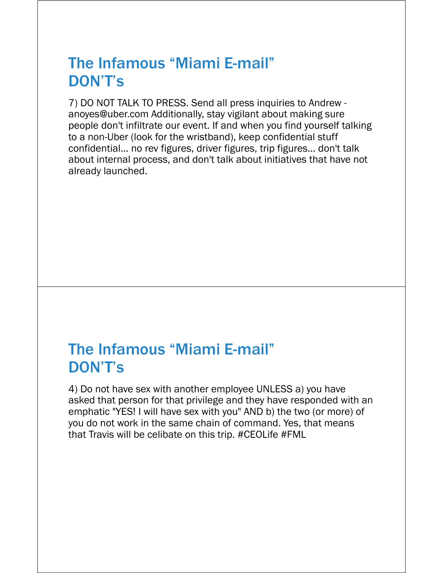### The Infamous "Miami E-mail" DON'T's

7) DO NOT TALK TO PRESS. Send all press inquiries to Andrew anoyes@uber.com Additionally, stay vigilant about making sure people don't infiltrate our event. If and when you find yourself talking to a non-Uber (look for the wristband), keep confidential stuff confidential... no rev figures, driver figures, trip figures... don't talk about internal process, and don't talk about initiatives that have not already launched.

#### The Infamous "Miami E-mail" DON'T's

4) Do not have sex with another employee UNLESS a) you have asked that person for that privilege and they have responded with an emphatic "YES! I will have sex with you" AND b) the two (or more) of you do not work in the same chain of command. Yes, that means that Travis will be celibate on this trip. #CEOLife #FML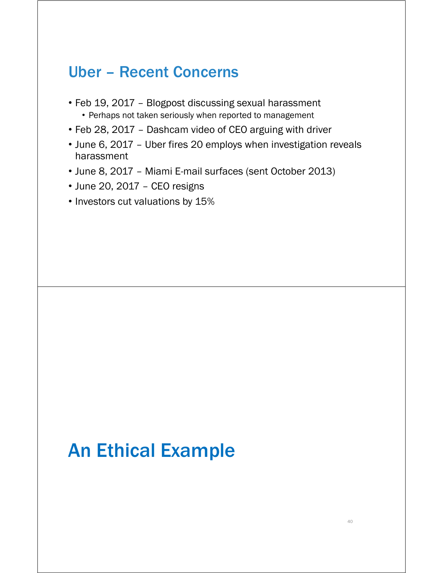#### Uber – Recent Concerns

- Feb 19, 2017 Blogpost discussing sexual harassment
	- Perhaps not taken seriously when reported to management
- Feb 28, 2017 Dashcam video of CEO arguing with driver
- June 6, 2017 Uber fires 20 employs when investigation reveals harassment
- June 8, 2017 Miami E-mail surfaces (sent October 2013)
- June 20, 2017 CEO resigns
- Investors cut valuations by 15%

## An Ethical Example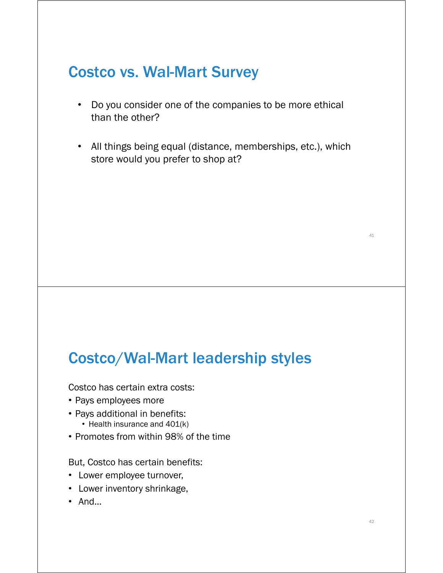## Costco vs. Wal-Mart Survey

- Do you consider one of the companies to be more ethical than the other?
- All things being equal (distance, memberships, etc.), which store would you prefer to shop at?

#### Costco/Wal-Mart leadership styles

Costco has certain extra costs:

- Pays employees more
- Pays additional in benefits:
	- Health insurance and 401(k)
- Promotes from within 98% of the time

But, Costco has certain benefits:

- Lower employee turnover,
- Lower inventory shrinkage,
- And…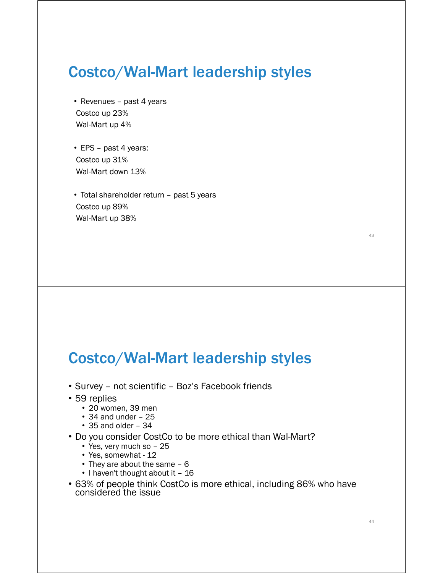#### Costco/Wal-Mart leadership styles

- Revenues past 4 years Costco up 23% Wal-Mart up 4%
- EPS past 4 years: Costco up 31% Wal-Mart down 13%
- Total shareholder return past 5 years Costco up 89% Wal-Mart up 38%

Costco/Wal-Mart leadership styles

- Survey not scientific Boz's Facebook friends
- 59 replies
	- 20 women, 39 men
	- 34 and under 25
	- 35 and older 34
- Do you consider CostCo to be more ethical than Wal-Mart?
	- Yes, very much so 25
	- Yes, somewhat 12
	- They are about the same 6
	- I haven't thought about it 16
- 63% of people think CostCo is more ethical, including 86% who have considered the issue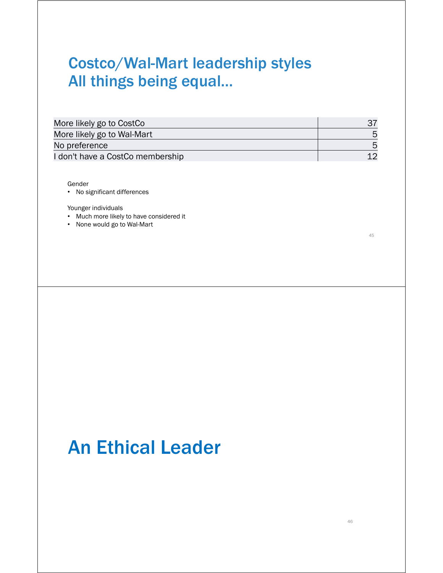## Costco/Wal-Mart leadership styles All things being equal…

Gender

• No significant differences

Younger individuals

- Much more likely to have considered it
- None would go to Wal-Mart

45

# An Ethical Leader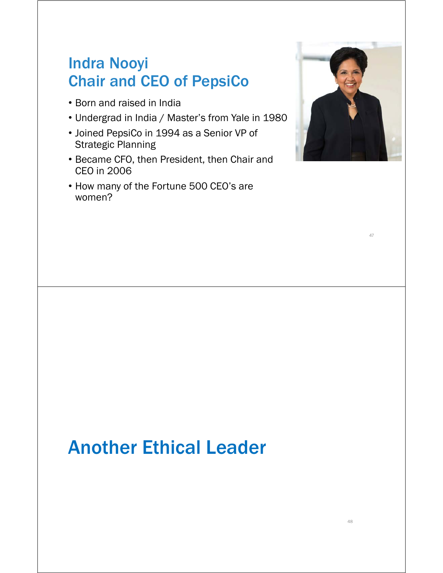## Indra Nooyi Chair and CEO of PepsiCo

- Born and raised in India
- Undergrad in India / Master's from Yale in 1980
- Joined PepsiCo in 1994 as a Senior VP of Strategic Planning
- Became CFO, then President, then Chair and CEO in 2006
- How many of the Fortune 500 CEO's are women?



47

# Another Ethical Leader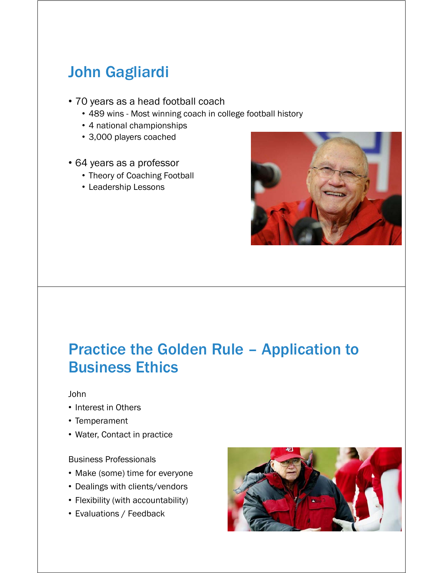## John Gagliardi

- 70 years as a head football coach
	- 489 wins Most winning coach in college football history
	- 4 national championships
	- 3,000 players coached
- 64 years as a professor
	- Theory of Coaching Football
	- Leadership Lessons



### Practice the Golden Rule – Application to Business Ethics

John

- Interest in Others
- Temperament
- Water, Contact in practice

Business Professionals

- Make (some) time for everyone
- Dealings with clients/vendors
- Flexibility (with accountability)
- Evaluations / Feedback

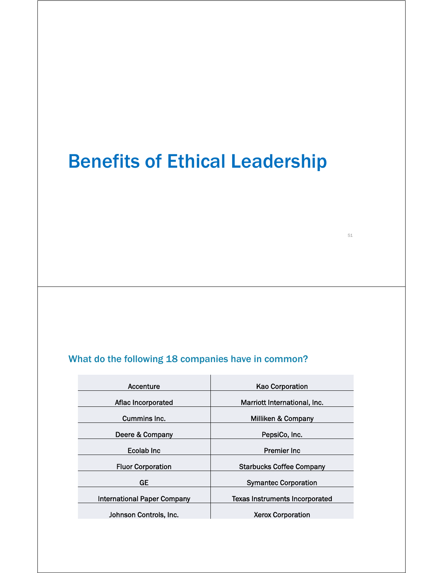# Benefits of Ethical Leadership

51

#### What do the following 18 companies have in common?

| <b>Kao Corporation</b>          |  |
|---------------------------------|--|
| Marriott International, Inc.    |  |
| Milliken & Company              |  |
| PepsiCo, Inc.                   |  |
| <b>Premier Inc.</b>             |  |
| <b>Starbucks Coffee Company</b> |  |
| <b>Symantec Corporation</b>     |  |
| Texas Instruments Incorporated  |  |
| <b>Xerox Corporation</b>        |  |
|                                 |  |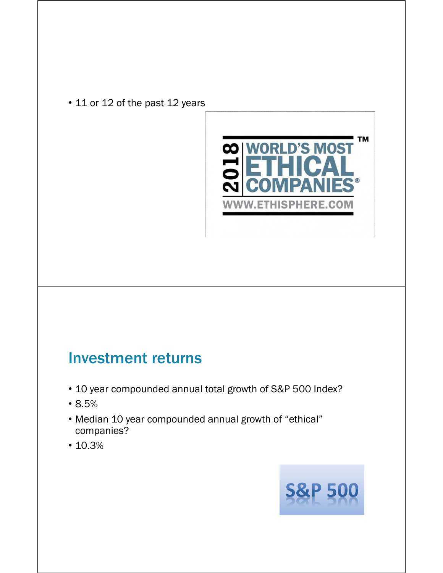• 11 or 12 of the past 12 years



#### Investment returns

- 10 year compounded annual total growth of S&P 500 Index?
- 8.5%
- Median 10 year compounded annual growth of "ethical" companies?
- 10.3%

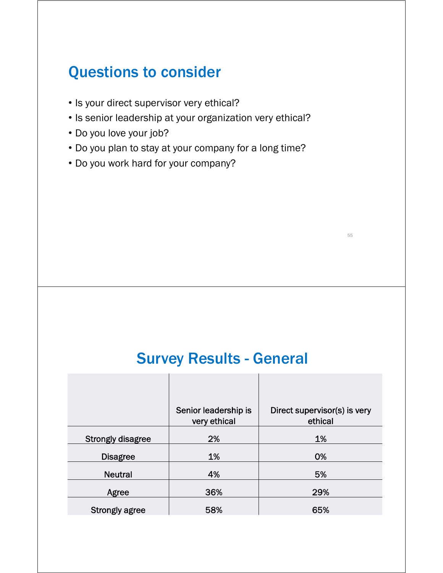## Questions to consider

- Is your direct supervisor very ethical?
- Is senior leadership at your organization very ethical?
- Do you love your job?
- Do you plan to stay at your company for a long time?
- Do you work hard for your company?

#### Survey Results - General

|                          | Senior leadership is<br>very ethical | Direct supervisor(s) is very<br>ethical |
|--------------------------|--------------------------------------|-----------------------------------------|
| <b>Strongly disagree</b> | 2%                                   | 1%                                      |
| <b>Disagree</b>          | 1%                                   | 0%                                      |
| <b>Neutral</b>           | 4%                                   | 5%                                      |
| Agree                    | 36%                                  | 29%                                     |
| <b>Strongly agree</b>    | 58%                                  | 65%                                     |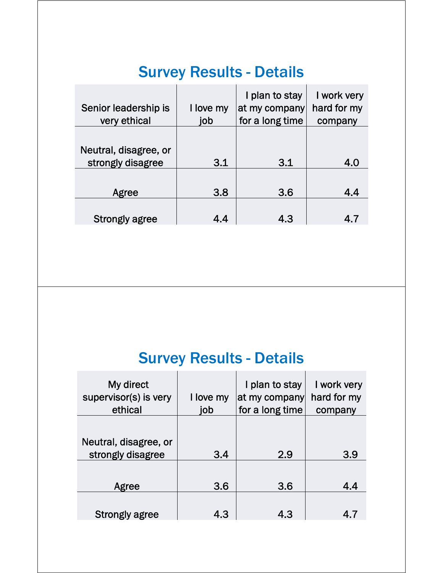## Survey Results - Details

| Senior leadership is<br>very ethical | I love my<br>job | I plan to stay<br>at my company<br>for a long time | I work very<br>hard for my<br>company |
|--------------------------------------|------------------|----------------------------------------------------|---------------------------------------|
|                                      |                  |                                                    |                                       |
| Neutral, disagree, or                |                  |                                                    |                                       |
| strongly disagree                    | 3.1              | 3.1                                                | 4.0                                   |
|                                      |                  |                                                    |                                       |
| Agree                                | 3.8              | 3.6                                                | 4.4                                   |
|                                      |                  |                                                    |                                       |
| <b>Strongly agree</b>                | 4.4              | 4.3                                                | 4.7                                   |

## Survey Results - Details

| My direct<br>supervisor(s) is very<br>ethical | I love my<br>job | I plan to stay<br>at my company<br>for a long time | I work very<br>hard for my<br>company |
|-----------------------------------------------|------------------|----------------------------------------------------|---------------------------------------|
|                                               |                  |                                                    |                                       |
| Neutral, disagree, or<br>strongly disagree    | 3.4              | 2.9                                                | 3.9                                   |
|                                               |                  |                                                    |                                       |
| Agree                                         | 3.6              | 3.6                                                | 4.4                                   |
| <b>Strongly agree</b>                         | 4.3              | 4.3                                                | 4.7                                   |